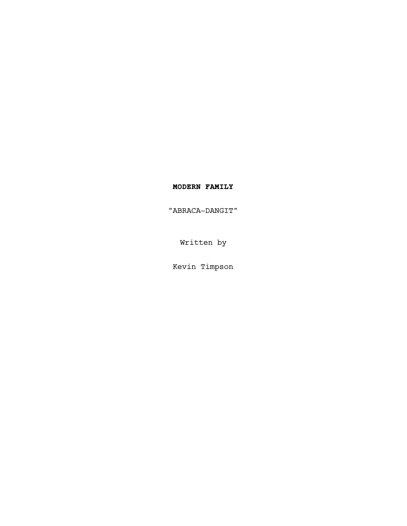# **MODERN FAMILY**

"ABRACA-DANGIT"

Written by

Kevin Timpson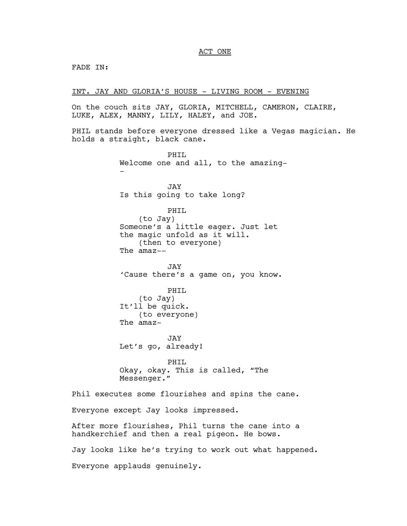# ACT ONE

FADE IN:

INT. JAY AND GLORIA'S HOUSE - LIVING ROOM - EVENING

PHTT.

On the couch sits JAY, GLORIA, MITCHELL, CAMERON, CLAIRE, LUKE, ALEX, MANNY, LILY, HALEY, and JOE.

PHIL stands before everyone dressed like a Vegas magician. He holds a straight, black cane.

Welcome one and all, to the amazing- - JAY Is this going to take long? PHIL (to Jay) Someone's a little eager. Just let the magic unfold as it will. (then to everyone) The amaz-- JAY 'Cause there's a game on, you know. PHIL (to Jay) It'll be quick. (to everyone) The amaz-JAY Let's go, already! PHIL Okay, okay. This is called, "The Messenger." Phil executes some flourishes and spins the cane. Everyone except Jay looks impressed. After more flourishes, Phil turns the cane into a handkerchief and then a real pigeon. He bows. Jay looks like he's trying to work out what happened. Everyone applauds genuinely.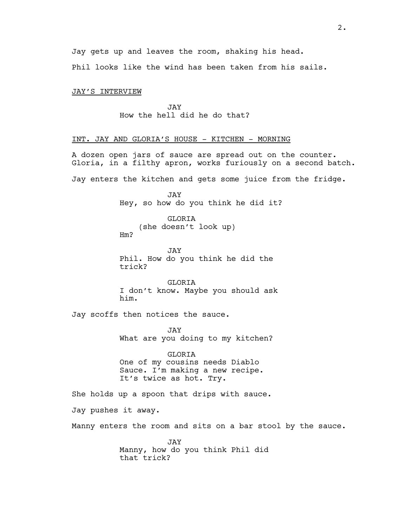Phil looks like the wind has been taken from his sails.

# JAY'S INTERVIEW

JAY How the hell did he do that?

# INT. JAY AND GLORIA'S HOUSE - KITCHEN - MORNING

A dozen open jars of sauce are spread out on the counter. Gloria, in a filthy apron, works furiously on a second batch.

Jay enters the kitchen and gets some juice from the fridge.

JAY Hey, so how do you think he did it?

GLORIA (she doesn't look up) Hm?

JAY Phil. How do you think he did the trick?

**GLORIA** I don't know. Maybe you should ask him.

Jay scoffs then notices the sauce.

JAY What are you doing to my kitchen?

GLORIA One of my cousins needs Diablo Sauce. I'm making a new recipe. It's twice as hot. Try.

She holds up a spoon that drips with sauce.

Jay pushes it away.

Manny enters the room and sits on a bar stool by the sauce.

JAY Manny, how do you think Phil did that trick?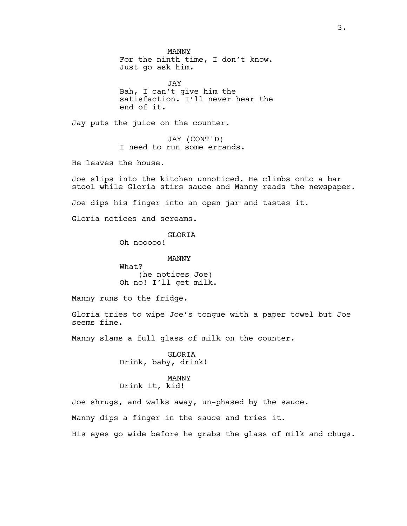MANNY For the ninth time, I don't know. Just go ask him.

JAY Bah, I can't give him the satisfaction. I'll never hear the end of it.

Jay puts the juice on the counter.

JAY (CONT'D) I need to run some errands.

He leaves the house.

Joe slips into the kitchen unnoticed. He climbs onto a bar stool while Gloria stirs sauce and Manny reads the newspaper.

Joe dips his finger into an open jar and tastes it.

Gloria notices and screams.

GLORIA Oh nooooo!

MANNY What? (he notices Joe) Oh no! I'll get milk.

Manny runs to the fridge.

Gloria tries to wipe Joe's tongue with a paper towel but Joe seems fine.

Manny slams a full glass of milk on the counter.

GLORIA Drink, baby, drink!

# MANNY Drink it, kid!

Joe shrugs, and walks away, un-phased by the sauce.

Manny dips a finger in the sauce and tries it.

His eyes go wide before he grabs the glass of milk and chugs.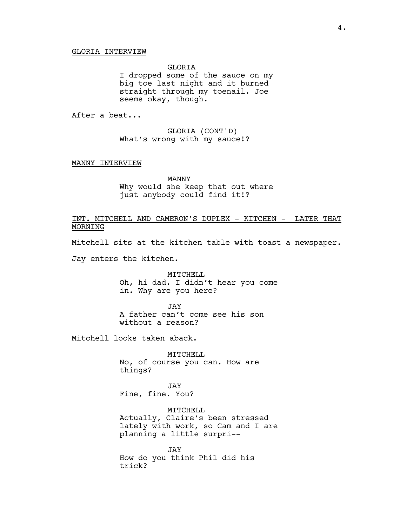GLORIA

I dropped some of the sauce on my big toe last night and it burned straight through my toenail. Joe seems okay, though.

After a beat...

GLORIA (CONT'D) What's wrong with my sauce!?

### MANNY INTERVIEW

MANNY Why would she keep that out where just anybody could find it!?

INT. MITCHELL AND CAMERON'S DUPLEX - KITCHEN - LATER THAT MORNING

Mitchell sits at the kitchen table with toast a newspaper.

Jay enters the kitchen.

MITCHELL Oh, hi dad. I didn't hear you come in. Why are you here?

JAY A father can't come see his son without a reason?

Mitchell looks taken aback.

MITCHELL No, of course you can. How are things?

JAY Fine, fine. You?

MITCHELL Actually, Claire's been stressed lately with work, so Cam and I are planning a little surpri--

JAY How do you think Phil did his trick?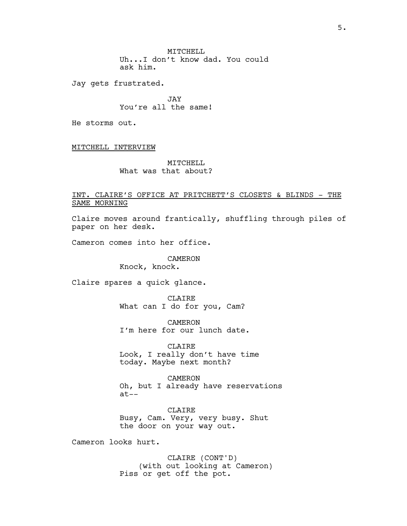MITCHELL Uh...I don't know dad. You could ask him.

Jay gets frustrated.

JAY You're all the same!

He storms out.

MITCHELL INTERVIEW

MITCHELL What was that about?

# INT. CLAIRE'S OFFICE AT PRITCHETT'S CLOSETS & BLINDS - THE SAME MORNING

Claire moves around frantically, shuffling through piles of paper on her desk.

Cameron comes into her office.

CAMERON

Knock, knock.

Claire spares a quick glance.

CLAIRE What can I do for you, Cam?

CAMERON I'm here for our lunch date.

CLAIRE Look, I really don't have time today. Maybe next month?

CAMERON Oh, but I already have reservations at--

CLAIRE Busy, Cam. Very, very busy. Shut the door on your way out.

Cameron looks hurt.

CLAIRE (CONT'D) (with out looking at Cameron) Piss or get off the pot.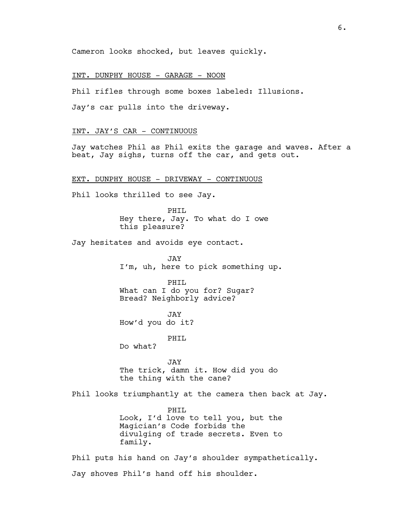Cameron looks shocked, but leaves quickly.

### INT. DUNPHY HOUSE - GARAGE - NOON

Phil rifles through some boxes labeled: Illusions.

Jay's car pulls into the driveway.

# INT. JAY'S CAR - CONTINUOUS

Jay watches Phil as Phil exits the garage and waves. After a beat, Jay sighs, turns off the car, and gets out.

### EXT. DUNPHY HOUSE - DRIVEWAY - CONTINUOUS

Phil looks thrilled to see Jay.

PHIL Hey there, Jay. To what do I owe this pleasure?

Jay hesitates and avoids eye contact.

JAY I'm, uh, here to pick something up.

PHTT. What can I do you for? Sugar? Bread? Neighborly advice?

JAY How'd you do it?

PHIL

Do what?

JAY The trick, damn it. How did you do the thing with the cane?

Phil looks triumphantly at the camera then back at Jay.

PHIL Look, I'd love to tell you, but the Magician's Code forbids the divulging of trade secrets. Even to family.

Phil puts his hand on Jay's shoulder sympathetically. Jay shoves Phil's hand off his shoulder.